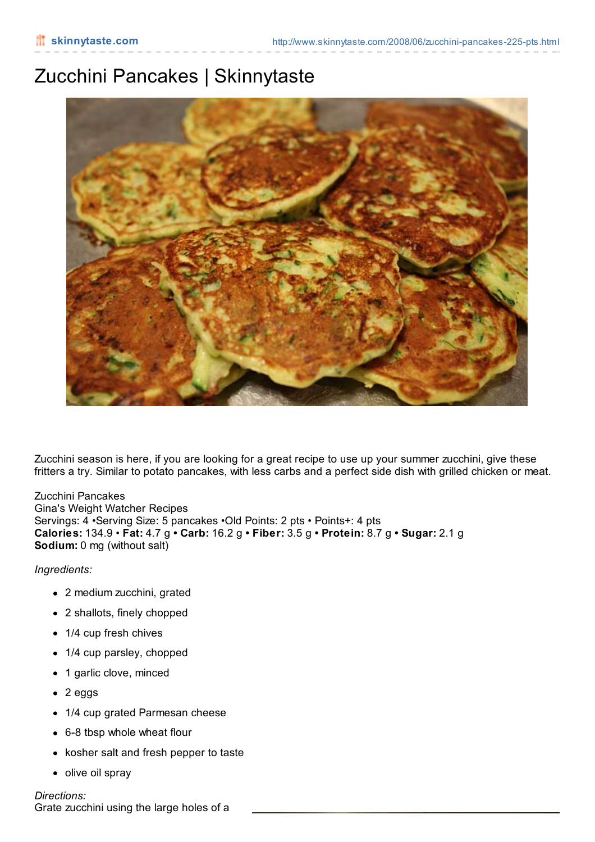## Zucchini Pancakes | Skinnytaste



Zucchini season is here, if you are looking for a great recipe to use up your summer zucchini, give these fritters a try. Similar to potato pancakes, with less carbs and a perfect side dish with grilled chicken or meat.

Zucchini Pancakes Gina's Weight Watcher Recipes Servings: 4 •Serving Size: 5 pancakes •Old Points: 2 pts • Points+: 4 pts **Calories:** 134.9 • **Fat:** 4.7 g **• Carb:** 16.2 g **• Fiber:** 3.5 g **• Protein:** 8.7 g **• Sugar:** 2.1 g **Sodium:** 0 mg (without salt)

*Ingredients:*

- 2 medium zucchini, grated
- 2 shallots, finely chopped
- 1/4 cup fresh chives
- 1/4 cup parsley, chopped
- 1 garlic clove, minced
- 2 eggs
- 1/4 cup grated Parmesan cheese
- 6-8 tbsp whole wheat flour
- kosher salt and fresh pepper to taste
- olive oil spray

## *Directions:*

Grate zucchini using the large holes of a